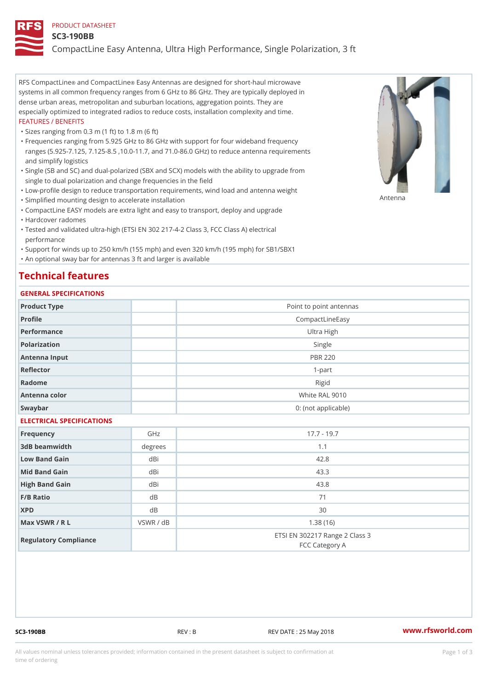### PRODUCT DATASHEET

### SC3-190BB

CompactLine Easy Antenna, Ultra High Performance, Single Polarizatio

RFS Compacthinde Compact Eiansey Antennas are designed for short-haul microwave systems in all common frequency ranges from 6 GHz to 86 GHz. They are typically deployed in dense urban areas, metropolitan and suburban locations, aggregation points. They are especially optimized to integrated radios to reduce costs, installation complexity and time. FEATURES / BENEFITS

"Sizes ranging from 0.3 m (1 ft) to 1.8 m (6 ft)

- Frequencies ranging from 5.925 GHz to 86 GHz with support for four wideband frequency " ranges (5.925-7.125, 7.125-8.5 ,10.0-11.7, and 71.0-86.0 GHz) to reduce antenna requirements and simplify logistics
- Single (SB and SC) and dual-polarized (SBX and SCX) models with the ability to upgrade from " single to dual polarization and change frequencies in the field
- "Low-profile design to reduce transportation requirements, wind load and antenna weight
- "Simplified mounting design to accelerate installation

 "CompactLine EASY models are extra light and easy to transport, deploy and upgrade "Hardcover radomes

Tested and validated ultra-high (ETSI EN 302 217-4-2 Class 3, FCC Class A) electrical " performance

 "Support for winds up to 250 km/h (155 mph) and even 320 km/h (195 mph) for SB1/SBX1 "An optional sway bar for antennas 3 ft and larger is available

# Technical features

## GENERAL SPECIFICATIONS

| GENERAL SELGIFICATIONS    |           |                                                  |  |  |
|---------------------------|-----------|--------------------------------------------------|--|--|
| Product Type              |           | Point to point antennas                          |  |  |
| Profile                   |           | CompactLineEasy                                  |  |  |
| Performance               |           | Ultra High                                       |  |  |
| Polarization              |           | Single                                           |  |  |
| Antenna Input             |           | <b>PBR 220</b>                                   |  |  |
| Reflector                 |           | $1 - p$ art                                      |  |  |
| Radome                    |           | Rigid                                            |  |  |
| Antenna color             |           | White RAL 9010                                   |  |  |
| Swaybar                   |           | 0: (not applicable)                              |  |  |
| ELECTRICAL SPECIFICATIONS |           |                                                  |  |  |
| Frequency                 | GHz       | $17.7 - 19.7$                                    |  |  |
| 3dB beamwidth             | degrees   | 1.1                                              |  |  |
| Low Band Gain             | dBi       | 42.8                                             |  |  |
| Mid Band Gain             | dBi       | 43.3                                             |  |  |
| High Band Gain            | dBi       | 43.8                                             |  |  |
| $F/B$ Ratio               | d B       | 71                                               |  |  |
| <b>XPD</b>                | d B       | 30                                               |  |  |
| Max VSWR / R L            | VSWR / dB | 1.38(16)                                         |  |  |
| Regulatory Compliance     |           | ETSI EN 302217 Range 2 Class 3<br>FCC Category A |  |  |

SC3-190BB REV : B REV DATE : 25 May 2018 [www.](https://www.rfsworld.com)rfsworld.com

Antenna

All values nominal unless tolerances provided; information contained in the present datasheet is subject to Pcapgeign mation time of ordering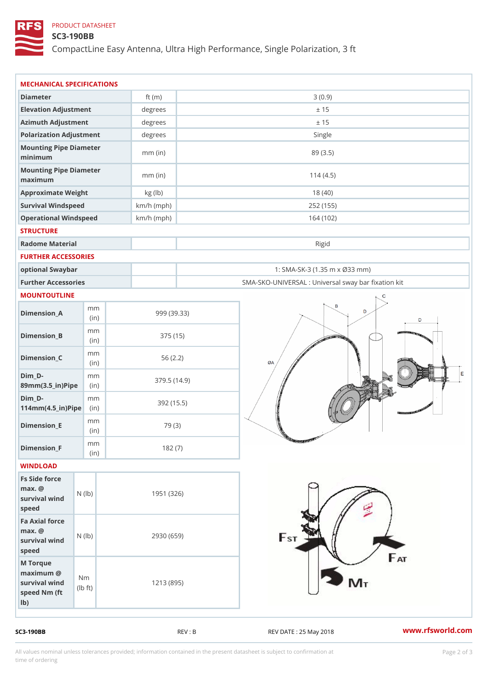## PRODUCT DATASHEET

### SC3-190BB

CompactLine Easy Antenna, Ultra High Performance, Single Polarizatio

| MECHANICAL SPECIFICATIONS                                                                         |              |                                                   |
|---------------------------------------------------------------------------------------------------|--------------|---------------------------------------------------|
| Diameter                                                                                          | ft $(m)$     | 3(0.9)                                            |
| Elevation Adjustment                                                                              | degrees      | ± 15                                              |
| Azimuth Adjustment                                                                                | degrees      | ± 15                                              |
| Polarization Adjustment                                                                           | degrees      | Single                                            |
| Mounting Pipe Diameter<br>minimum                                                                 | $mm$ (in)    | 89 (3.5)                                          |
| Mounting Pipe Diameter<br>maximum                                                                 | $mm$ (in)    | 114(4.5)                                          |
| Approximate Weight                                                                                | kg (lb)      | 18(40)                                            |
| Survival Windspeed                                                                                | $km/h$ (mph) | 252 (155)                                         |
| Operational Windspeed                                                                             | $km/h$ (mph) | 164 (102)                                         |
| <b>STRUCTURE</b>                                                                                  |              |                                                   |
| Radome Material                                                                                   |              | Rigid                                             |
| FURTHER ACCESSORIES                                                                               |              |                                                   |
| optional Swaybar                                                                                  |              | 1: SMA-SK-3 (1.35 m x Ø33 mm)                     |
| Further Accessories                                                                               |              | SMA-SKO-UNIVERSAL : Universal sway bar fixation l |
| MOUNTOUTLINE                                                                                      |              |                                                   |
| m m<br>$Dimension_A$<br>(in)                                                                      |              | 999 (39.33)                                       |
| m m<br>$Dimension_B$<br>(in)                                                                      |              | 375 (15)                                          |
| m m<br>$Dimen sion_C$<br>(in)                                                                     |              | 56(2.2)                                           |
| $Dim_$ $D -$<br>m m<br>89mm (3.5_in) Pi(pine                                                      |              | 379.5(14.9)                                       |
| $Dim_D - D -$<br>m m<br>$114$ m m $(4.5$ _ ir $)$ $R$ ii p $\geq$                                 |              | 392 (15.5)                                        |
| m m<br>$Dimension$ = E<br>(in)                                                                    | 79 (3)       |                                                   |
| m m<br>$Dimension_F$<br>(in)                                                                      | 182(7)       |                                                   |
| WINDLOAD                                                                                          |              |                                                   |
| Fs Side force<br>$max.$ @<br>survival $w \nmid N$ ( $ b$ )<br>speed                               | 1951 (326)   |                                                   |
| Fa Axial force<br>$max.$ @<br>survival wind (1b)<br>speed                                         | 2930 (659)   |                                                   |
| M Torque<br>$maximum$ @<br>N m<br>survival wind<br>$\dagger$ t)<br>I b<br>speed Nm (ft)<br>$1b$ ) | 1213 (895)   |                                                   |

SC3-190BB REV : B REV : B REV DATE : 25 May 2018 WWW.rfsworld.com